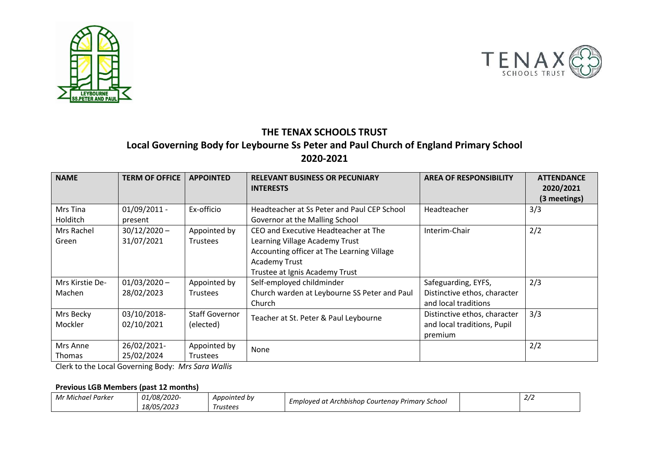



## **THE TENAX SCHOOLS TRUST Local Governing Body for Leybourne Ss Peter and Paul Church of England Primary School 2020-2021**

| <b>NAME</b>     | <b>TERM OF OFFICE</b> | <b>APPOINTED</b>      | <b>RELEVANT BUSINESS OR PECUNIARY</b><br><b>INTERESTS</b> | <b>AREA OF RESPONSIBILITY</b> | <b>ATTENDANCE</b><br>2020/2021 |
|-----------------|-----------------------|-----------------------|-----------------------------------------------------------|-------------------------------|--------------------------------|
|                 |                       |                       |                                                           |                               | (3 meetings)                   |
| Mrs Tina        | $01/09/2011$ -        | Ex-officio            | Headteacher at Ss Peter and Paul CEP School               | Headteacher                   | 3/3                            |
| Holditch        | present               |                       | Governor at the Malling School                            |                               |                                |
| Mrs Rachel      | $30/12/2020 -$        | Appointed by          | CEO and Executive Headteacher at The                      | Interim-Chair                 | 2/2                            |
| Green           | 31/07/2021            | <b>Trustees</b>       | Learning Village Academy Trust                            |                               |                                |
|                 |                       |                       | Accounting officer at The Learning Village                |                               |                                |
|                 |                       |                       | <b>Academy Trust</b>                                      |                               |                                |
|                 |                       |                       | Trustee at Ignis Academy Trust                            |                               |                                |
| Mrs Kirstie De- | $01/03/2020 -$        | Appointed by          | Self-employed childminder                                 | Safeguarding, EYFS,           | 2/3                            |
| Machen          | 28/02/2023            | <b>Trustees</b>       | Church warden at Leybourne SS Peter and Paul              | Distinctive ethos, character  |                                |
|                 |                       |                       | Church                                                    | and local traditions          |                                |
| Mrs Becky       | 03/10/2018-           | <b>Staff Governor</b> | Teacher at St. Peter & Paul Leybourne                     | Distinctive ethos, character  | 3/3                            |
| Mockler         | 02/10/2021            | (elected)             |                                                           | and local traditions, Pupil   |                                |
|                 |                       |                       |                                                           | premium                       |                                |
| Mrs Anne        | 26/02/2021-           | Appointed by          | None                                                      |                               | 2/2                            |
| Thomas          | 25/02/2024            | Trustees              |                                                           |                               |                                |

Clerk to the Local Governing Body: *Mrs Sara Wallis*

## **Previous LGB Members (past 12 months)**

| $\overline{\phantom{0}}$<br>- - -<br>Mr I<br>. Michael Parker | <i>01/08/2020-</i> | Appointed by                  | Emploved at Archbishop Courtenav Primary S<br>' School | $\sim$ $\sim$<br>2/2 |
|---------------------------------------------------------------|--------------------|-------------------------------|--------------------------------------------------------|----------------------|
|                                                               | <i>18/05/2023</i>  | <i><u><b>Trustees</b></u></i> |                                                        |                      |